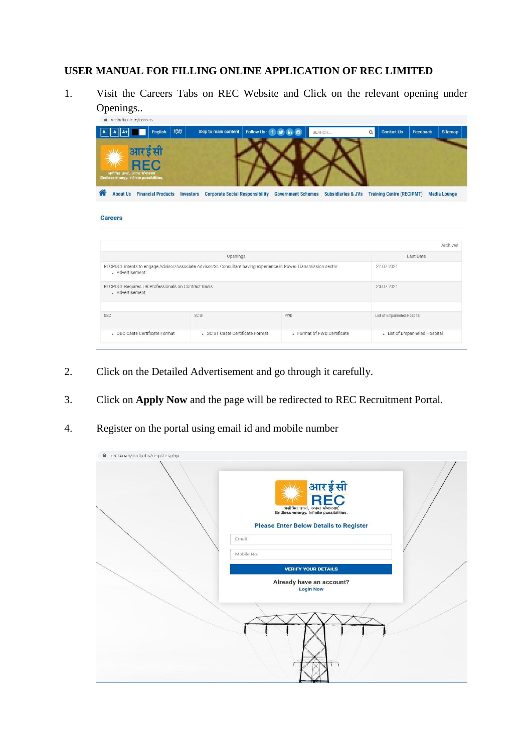## **USER MANUAL FOR FILLING ONLINE APPLICATION OF REC LIMITED**

1. Visit the Careers Tabs on REC Website and Click on the relevant opening under Openings..

| हिंदी<br>English                                                                        | Skip to main content<br>Follow Us: f                                                                              | in(2)<br>v                | SEARCH                        | <b>Contact Us</b><br>$\alpha$    | Feedback  | <b>Sitemap</b>      |
|-----------------------------------------------------------------------------------------|-------------------------------------------------------------------------------------------------------------------|---------------------------|-------------------------------|----------------------------------|-----------|---------------------|
| आरईसी<br>REC<br>असीमित ऊर्जा, अनन्त संभावनाए<br>Endless energy. Infinite possibilities. |                                                                                                                   |                           |                               |                                  |           |                     |
| <b>About Us</b> Financial Products                                                      | <b>Investors</b><br><b>Corporate Social Responsibility</b>                                                        | <b>Government Schemes</b> | <b>Subsidiaries &amp; JVs</b> | <b>Training Centre (RECIPMT)</b> |           | <b>Media Lounge</b> |
|                                                                                         |                                                                                                                   |                           |                               |                                  |           |                     |
|                                                                                         |                                                                                                                   |                           |                               |                                  |           |                     |
|                                                                                         | Openings                                                                                                          |                           |                               |                                  | Last Date |                     |
| - Advertisement                                                                         | RECPDCL intents to engage Advisor/Associate Advisor/Sr. Consultant having experience in Power Transmission sector |                           |                               | 27.07.2021                       |           | Archives            |
| RECPDCL Requires HR Professionals on Contract Basis<br>- Advertisement                  |                                                                                                                   |                           |                               | 23.07.2021                       |           |                     |
| OBC                                                                                     | SC ST                                                                                                             | <b>PWD</b>                |                               | List of Empanneled Hospital      |           |                     |

- 2. Click on the Detailed Advertisement and go through it carefully.
- 3. Click on **Apply Now** and the page will be redirected to REC Recruitment Portal.
- 4. Register on the portal using email id and mobile number

| recl.co.in/recljobs/register.php |                                                                                          |  |
|----------------------------------|------------------------------------------------------------------------------------------|--|
|                                  | आरईसी<br>REC<br>असीमित ऊर्जा, अनन्त संभावनाएं<br>Endless energy. Infinite possibilities. |  |
|                                  | <b>Please Enter Below Details to Register</b><br>Email                                   |  |
|                                  | Mobile No:                                                                               |  |
|                                  | <b>VERIFY YOUR DETAILS</b>                                                               |  |
|                                  | Already have an account?<br><b>Login Now</b>                                             |  |
|                                  |                                                                                          |  |
|                                  |                                                                                          |  |
|                                  |                                                                                          |  |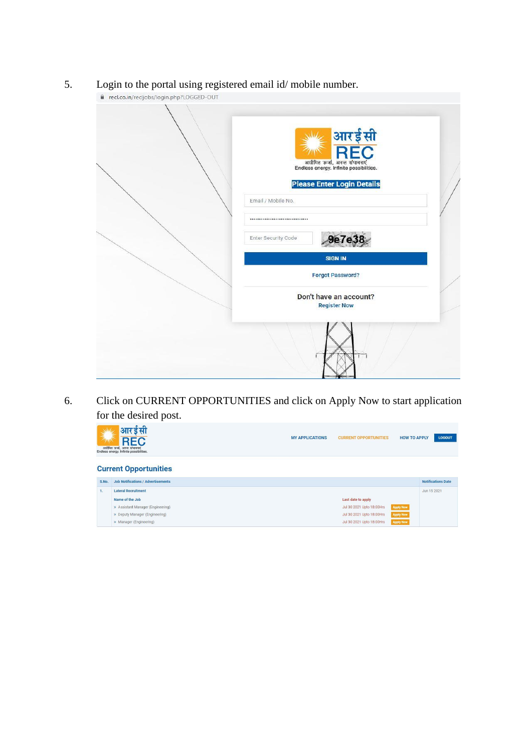5. Login to the portal using registered email id/ mobile number.



L,

| <mark>आरईसी</mark><br>REC<br>असीमित ऊर्जा, अनन्त संभावनाएं<br>Endless energy. Infinite possibilities. |
|-------------------------------------------------------------------------------------------------------|
| <b>Please Enter Login Details</b><br>Email / Mobile No.<br>                                           |
| <b>9e7e38</b><br>Enter Security Code<br><b>SIGN IN</b>                                                |
| <b>Forgot Password?</b><br>Don't have an account?<br><b>Register Now</b>                              |
|                                                                                                       |

6. Click on CURRENT OPPORTUNITIES and click on Apply Now to start application for the desired post.

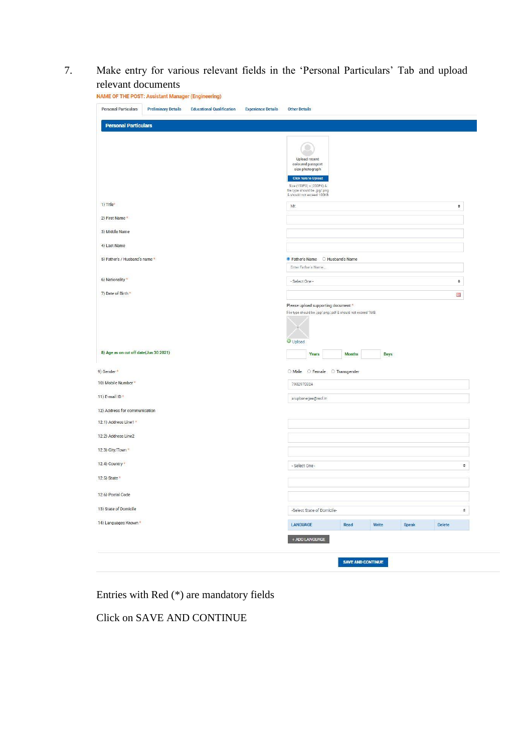7. Make entry for various relevant fields in the 'Personal Particulars' Tab and upload relevant documents

| <b>Personal Particulars</b>                                                          | <b>Preliminary Details</b> | <b>Educational Qualification</b> | <b>Experience Details</b> | <b>Other Details</b>                                                                                                                                                           |               |       |       |        |                    |
|--------------------------------------------------------------------------------------|----------------------------|----------------------------------|---------------------------|--------------------------------------------------------------------------------------------------------------------------------------------------------------------------------|---------------|-------|-------|--------|--------------------|
| <b>Personal Particulars</b>                                                          |                            |                                  |                           |                                                                                                                                                                                |               |       |       |        |                    |
|                                                                                      |                            |                                  |                           | Upload recent<br>coloured passport<br>size photograph<br><b>Click here to Upload</b><br>Size (150PX) x (200PX) &<br>file type should be .jpg/.png<br>& should not exceed 100KB |               |       |       |        |                    |
| 1) Title*                                                                            |                            |                                  |                           | Mr.                                                                                                                                                                            |               |       |       |        | $\ddot{\bullet}$   |
| 2) First Name *                                                                      |                            |                                  |                           |                                                                                                                                                                                |               |       |       |        |                    |
| 3) Middle Name                                                                       |                            |                                  |                           |                                                                                                                                                                                |               |       |       |        |                    |
| 4) Last Name                                                                         |                            |                                  |                           |                                                                                                                                                                                |               |       |       |        |                    |
| 5) Father's / Husband's name *                                                       |                            |                                  |                           | G Father's Name C Husband's Name                                                                                                                                               |               |       |       |        |                    |
|                                                                                      |                            |                                  |                           | Enter Father's Name                                                                                                                                                            |               |       |       |        |                    |
| 6) Nationality *                                                                     |                            |                                  |                           | - Select One -                                                                                                                                                                 |               |       |       |        | $\div$             |
| 7) Date of Birth *                                                                   |                            |                                  |                           |                                                                                                                                                                                |               |       |       |        | 篇                  |
|                                                                                      |                            |                                  |                           | Please upload supporting document *<br>File type should be .jpg/.png/.pdf & should not exceed 1MB.                                                                             |               |       |       |        |                    |
| 8) Age as on cut off date(Jun 30 2021)                                               |                            |                                  |                           | Upload                                                                                                                                                                         |               |       |       |        |                    |
|                                                                                      |                            |                                  |                           | Years                                                                                                                                                                          | <b>Months</b> | Days  |       |        |                    |
| 9) Gender *                                                                          |                            |                                  |                           | O Male O Female O Transgender                                                                                                                                                  |               |       |       |        |                    |
| 10) Mobile Number *                                                                  |                            |                                  |                           | 7982970324                                                                                                                                                                     |               |       |       |        |                    |
| 11) E-mail ID*                                                                       |                            |                                  |                           | arupbanerjee@recl.in                                                                                                                                                           |               |       |       |        |                    |
| 12) Address for communication                                                        |                            |                                  |                           |                                                                                                                                                                                |               |       |       |        |                    |
| 12.1) Address Line1 *                                                                |                            |                                  |                           |                                                                                                                                                                                |               |       |       |        |                    |
| 12.2) Address Line2                                                                  |                            |                                  |                           |                                                                                                                                                                                |               |       |       |        |                    |
| 12.3) City/Town *                                                                    |                            |                                  |                           |                                                                                                                                                                                |               |       |       |        |                    |
| 12.4) Country *                                                                      |                            |                                  |                           | - Select One -                                                                                                                                                                 |               |       |       |        | $\div$             |
|                                                                                      |                            |                                  |                           |                                                                                                                                                                                |               |       |       |        |                    |
|                                                                                      |                            |                                  |                           |                                                                                                                                                                                |               |       |       |        |                    |
|                                                                                      |                            |                                  |                           |                                                                                                                                                                                |               |       |       |        |                    |
|                                                                                      |                            |                                  |                           | -Select State of Domicile-                                                                                                                                                     |               |       |       |        | $\hat{\mathbf{v}}$ |
| 12.5) State *<br>12.6) Postal Code<br>13) State of Domicile<br>14) Languages Known * |                            |                                  |                           | LANGUAGE                                                                                                                                                                       | Read          | Write | Speak | Delete |                    |

Entries with Red (\*) are mandatory fields

Click on SAVE AND CONTINUE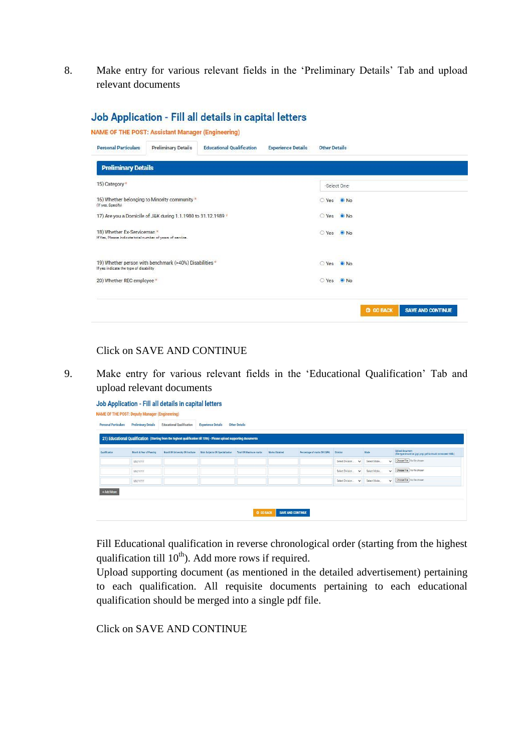8. Make entry for various relevant fields in the 'Preliminary Details' Tab and upload relevant documents

|                                                                                          | <b>NAME OF THE POST: Assistant Manager (Engineering)</b>      |                                  |                           |                      |              |                  |                          |
|------------------------------------------------------------------------------------------|---------------------------------------------------------------|----------------------------------|---------------------------|----------------------|--------------|------------------|--------------------------|
| <b>Personal Particulars</b>                                                              | <b>Preliminary Details</b>                                    | <b>Educational Qualification</b> | <b>Experience Details</b> | <b>Other Details</b> |              |                  |                          |
| <b>Preliminary Details</b>                                                               |                                                               |                                  |                           |                      |              |                  |                          |
| 15) Category*                                                                            |                                                               |                                  |                           |                      | -Select One- |                  |                          |
| (If yes, Specify)                                                                        | 16) Whether belonging to Minority community *                 |                                  |                           | ○ Yes ● No           |              |                  |                          |
|                                                                                          | 17) Are you a Domicile of J&K during 1.1.1980 to 31.12.1989 * |                                  |                           | ○ Yes ● No           |              |                  |                          |
| 18) Whether Ex-Serviceman *<br>If Yes, Please indicate total number of years of service. |                                                               |                                  |                           | ○ Yes ● No           |              |                  |                          |
| If yes indicate the type of disability                                                   | 19) Whether person with benchmark (>40%) Disabilities *       |                                  |                           | ○ Yes ● No           |              |                  |                          |
| 20) Whether REC employee *                                                               |                                                               |                                  |                           | ○ Yes ● No.          |              |                  |                          |
|                                                                                          |                                                               |                                  |                           |                      |              | <b>G GO BACK</b> | <b>SAVE AND CONTINUE</b> |

## Job Application - Fill all details in capital letters

## Click on SAVE AND CONTINUE

9. Make entry for various relevant fields in the 'Educational Qualification' Tab and upload relevant documents

| <b>Personal Particulars</b> | <b>Preliminary Details</b> | <b>Educational Qualification</b>                                                                                       | <b>Experience Details</b>       | <b>Other Details</b>   |                |                             |                                 |                             |                                                                                  |
|-----------------------------|----------------------------|------------------------------------------------------------------------------------------------------------------------|---------------------------------|------------------------|----------------|-----------------------------|---------------------------------|-----------------------------|----------------------------------------------------------------------------------|
|                             |                            | 21) Educational Qualification (Starting from the highest qualification till 10th) - Please upload supporting documents |                                 |                        |                |                             |                                 |                             |                                                                                  |
| <b>Oualification</b>        | Month & Year of Passing    | Board OR University OR Institute                                                                                       | Main Subjects OR Specialization | Total OR Maximum marks | Marks Obtained | Percentage of marks OR CGPA | Division                        | Mode                        | Upload document<br>(File type should be .jpg/.png/.pdf & should not exceed 1M9.) |
|                             | <b>MM/YYYY</b>             |                                                                                                                        |                                 |                        |                |                             | Select Division<br>$\checkmark$ | Select Mode<br>$\checkmark$ | Choose File   No file chosen                                                     |
|                             | MM/YYYY                    |                                                                                                                        |                                 |                        |                |                             | Select Division<br>$\ddot{}$    | Select Mode<br>$\checkmark$ | Choose File No file chosen                                                       |
|                             | <b>MM/YYYY</b>             |                                                                                                                        |                                 |                        |                |                             | Select Division<br>$\checkmark$ | Select Mode<br>$\checkmark$ | Choose File No file choses                                                       |

Fill Educational qualification in reverse chronological order (starting from the highest qualification till  $10<sup>th</sup>$ ). Add more rows if required.

Upload supporting document (as mentioned in the detailed advertisement) pertaining to each qualification. All requisite documents pertaining to each educational qualification should be merged into a single pdf file.

Click on SAVE AND CONTINUE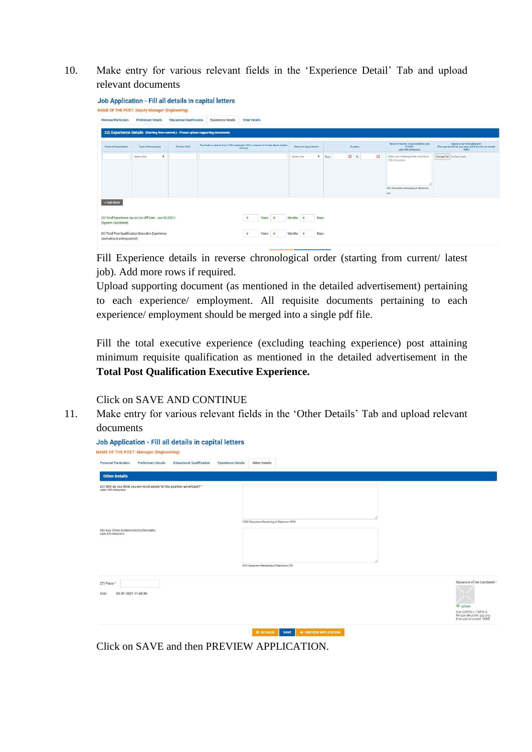10. Make entry for various relevant fields in the 'Experience Detail' Tab and upload relevant documents

| <b>Personal Particulars</b> | <b>Preliminary Details</b>                                                           | <b>Educational Qualification</b> | <b>Experience Details</b>                                                         | <b>Other Details</b> |                |                          |           |                     |   |                                                                            |                                                                                                |
|-----------------------------|--------------------------------------------------------------------------------------|----------------------------------|-----------------------------------------------------------------------------------|----------------------|----------------|--------------------------|-----------|---------------------|---|----------------------------------------------------------------------------|------------------------------------------------------------------------------------------------|
|                             | 22) Experience Details (Starting from current.) - Please upload supporting documents |                                  |                                                                                   |                      |                |                          |           |                     |   |                                                                            |                                                                                                |
| Name of Organization        | Type of the employer                                                                 | Position Held                    | Pay Scale in case of Govt./ PSU employee/ CTC in respect of Private Sector (Lakhs | /annum)              |                | Nature of Appointment    |           | Duration            |   | Nature of duties/ responsibilities (Job<br>Profile)<br>upto 250 characters | Upload proof of employment<br>(File type should be .jpg/.png/.pdf & should not exceed<br>TMR.) |
|                             | ٠<br>-Select One-                                                                    |                                  |                                                                                   |                      |                | -Select One-             | $\bullet$ | <b>B</b> To<br>From | 鬸 | Enter your message here, maximum<br>250 characters                         | Choose File No file chosen                                                                     |
|                             |                                                                                      |                                  |                                                                                   |                      |                |                          |           |                     |   | 250 Characters Remaining of Maximum<br>250                                 |                                                                                                |
| + Add More                  |                                                                                      |                                  |                                                                                   |                      |                |                          |           |                     |   |                                                                            |                                                                                                |
| (System Calculated)         | 23) Total Experience (as on Cut-Off Date - Jun 30 2021)                              |                                  |                                                                                   | Years<br>$\circ$     | $\overline{0}$ | Months<br>$\overline{0}$ | Days      |                     |   |                                                                            |                                                                                                |
| (excluding teaching period) | 24) Total Post Qualification Executive Experience                                    |                                  |                                                                                   | Years<br>$\circ$     | $\bullet$      | Months<br>$\overline{0}$ | Days      |                     |   |                                                                            |                                                                                                |

Fill Experience details in reverse chronological order (starting from current/ latest job). Add more rows if required.

Upload supporting document (as mentioned in the detailed advertisement) pertaining to each experience/ employment. All requisite documents pertaining to each experience/ employment should be merged into a single pdf file.

Fill the total executive experience (excluding teaching experience) post attaining minimum requisite qualification as mentioned in the detailed advertisement in the **Total Post Qualification Executive Experience.**

Click on SAVE AND CONTINUE

11. Make entry for various relevant fields in the 'Other Details' Tab and upload relevant documents

| <b>Personal Particulars</b><br><b>Preliminary Details</b><br><b>Educational Qualification</b><br><b>Experience Details</b><br><b>Other Details</b> |                                                                                        |
|----------------------------------------------------------------------------------------------------------------------------------------------------|----------------------------------------------------------------------------------------|
| <b>Other Details</b>                                                                                                                               |                                                                                        |
| 25) Why do you think you are most suited for the position advertised? *<br>(upto 1000 characters)                                                  |                                                                                        |
| 1000 Characters Remaining of Maximum 1000<br>26) Any Other Achievements/Remarks<br>(upto 250 characters)                                           |                                                                                        |
|                                                                                                                                                    |                                                                                        |
| 250 Characters Remaining of Maximum 250                                                                                                            |                                                                                        |
| 27) Place *                                                                                                                                        | Signature of the Candidate                                                             |
| 20-07-2021 11:42:06<br>Date                                                                                                                        | <b>Upload</b>                                                                          |
|                                                                                                                                                    | Size (200PX) x (150PX) &<br>file type should be .jpg/.png<br>& should not exceed 100KB |

Click on SAVE and then PREVIEW APPLICATION.